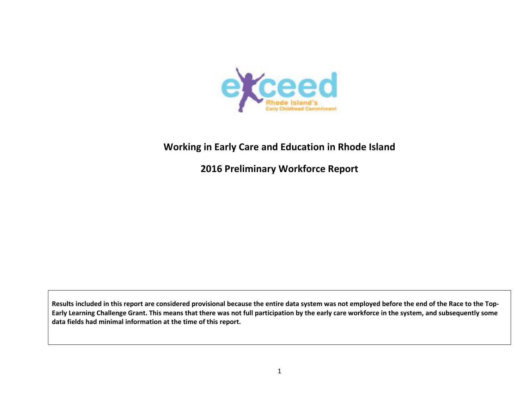

# **Working in Early Care and Education in Rhode Island**

**2016 Preliminary Workforce Report**

Results included in this report are considered provisional because the entire data system was not employed before the end of the Race to the Top-Early Learning Challenge Grant. This means that there was not full participation by the early care workforce in the system, and subsequently some **data fields had minimal information at the time of this report.**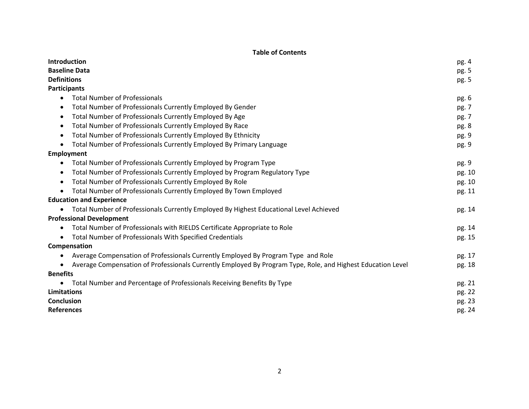# **Table of Contents**

| Introduction                                                                                                | pg. 4  |
|-------------------------------------------------------------------------------------------------------------|--------|
| <b>Baseline Data</b>                                                                                        | pg. 5  |
| <b>Definitions</b>                                                                                          | pg. 5  |
| Participants                                                                                                |        |
| <b>Total Number of Professionals</b><br>$\bullet$                                                           | pg. 6  |
| Total Number of Professionals Currently Employed By Gender<br>٠                                             | pg. 7  |
| Total Number of Professionals Currently Employed By Age<br>$\bullet$                                        | pg. 7  |
| Total Number of Professionals Currently Employed By Race<br>$\bullet$                                       | pg. 8  |
| Total Number of Professionals Currently Employed By Ethnicity<br>$\bullet$                                  | pg. 9  |
| Total Number of Professionals Currently Employed By Primary Language<br>$\bullet$                           | pg. 9  |
| <b>Employment</b>                                                                                           |        |
| Total Number of Professionals Currently Employed by Program Type<br>٠                                       | pg. 9  |
| Total Number of Professionals Currently Employed by Program Regulatory Type<br>$\bullet$                    | pg. 10 |
| Total Number of Professionals Currently Employed By Role<br>$\bullet$                                       | pg. 10 |
| Total Number of Professionals Currently Employed By Town Employed<br>$\bullet$                              | pg. 11 |
| <b>Education and Experience</b>                                                                             |        |
| Total Number of Professionals Currently Employed By Highest Educational Level Achieved                      | pg. 14 |
| <b>Professional Development</b>                                                                             |        |
| Total Number of Professionals with RIELDS Certificate Appropriate to Role<br>$\bullet$                      | pg. 14 |
| <b>Total Number of Professionals With Specified Credentials</b><br>$\bullet$                                | pg. 15 |
| Compensation                                                                                                |        |
| Average Compensation of Professionals Currently Employed By Program Type and Role<br>$\bullet$              | pg. 17 |
| Average Compensation of Professionals Currently Employed By Program Type, Role, and Highest Education Level | pg. 18 |
| <b>Benefits</b>                                                                                             |        |
| Total Number and Percentage of Professionals Receiving Benefits By Type                                     | pg. 21 |
| Limitations                                                                                                 | pg. 22 |
| <b>Conclusion</b>                                                                                           | pg. 23 |
| <b>References</b>                                                                                           | pg. 24 |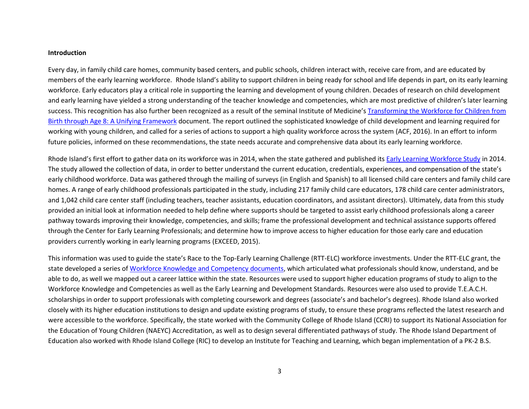#### **Introduction**

Every day, in family child care homes, community based centers, and public schools, children interact with, receive care from, and are educated by members of the early learning workforce. Rhode Island's ability to support children in being ready for school and life depends in part, on its early learning workforce. Early educators play a critical role in supporting the learning and development of young children. Decades of research on child development and early learning have yielded a strong understanding of the teacher knowledge and competencies, which are most predictive of children's later learning success. This recognition has also further been recognized as a result of the seminal Institute of Medicine's [Transforming the Workforce for Children from](http://www.nationalacademies.org/hmd/Reports/2015/Birth-To-Eight.aspx)  [Birth through Age 8: A Unifying Framework](http://www.nationalacademies.org/hmd/Reports/2015/Birth-To-Eight.aspx) document. The report outlined the sophisticated knowledge of child development and learning required for working with young children, and called for a series of actions to support a high quality workforce across the system (ACF, 2016). In an effort to inform future policies, informed on these recommendations, the state needs accurate and comprehensive data about its early learning workforce.

Rhode Island's first effort to gather data on its workforce was in 2014, when the state gathered and published its [Early Learning Workforce Study](https://exceed.ri.gov/Docs/Workforce_Study.pdf) in 2014. The study allowed the collection of data, in order to better understand the current education, credentials, experiences, and compensation of the state's early childhood workforce. Data was gathered through the mailing of surveys (in English and Spanish) to all licensed child care centers and family child care homes. A range of early childhood professionals participated in the study, including 217 family child care educators, 178 child care center administrators, and 1,042 child care center staff (including teachers, teacher assistants, education coordinators, and assistant directors). Ultimately, data from this study provided an initial look at information needed to help define where supports should be targeted to assist early childhood professionals along a career pathway towards improving their knowledge, competencies, and skills; frame the professional development and technical assistance supports offered through the Center for Early Learning Professionals; and determine how to improve access to higher education for those early care and education providers currently working in early learning programs (EXCEED, 2015).

This information was used to guide the state's Race to the Top-Early Learning Challenge (RTT-ELC) workforce investments. Under the RTT-ELC grant, the state developed a series of [Workforce Knowledge and Competency](https://exceed.ri.gov/Pages/Professionals/ProfessionalsDefault.aspx) documents, which articulated what professionals should know, understand, and be able to do, as well we mapped out a career lattice within the state. Resources were used to support higher education programs of study to align to the Workforce Knowledge and Competencies as well as the Early Learning and Development Standards. Resources were also used to provide T.E.A.C.H. scholarships in order to support professionals with completing coursework and degrees (associate's and bachelor's degrees). Rhode Island also worked closely with its higher education institutions to design and update existing programs of study, to ensure these programs reflected the latest research and were accessible to the workforce. Specifically, the state worked with the Community College of Rhode Island (CCRI) to support its National Association for the Education of Young Children (NAEYC) Accreditation, as well as to design several differentiated pathways of study. The Rhode Island Department of Education also worked with Rhode Island College (RIC) to develop an Institute for Teaching and Learning, which began implementation of a PK-2 B.S.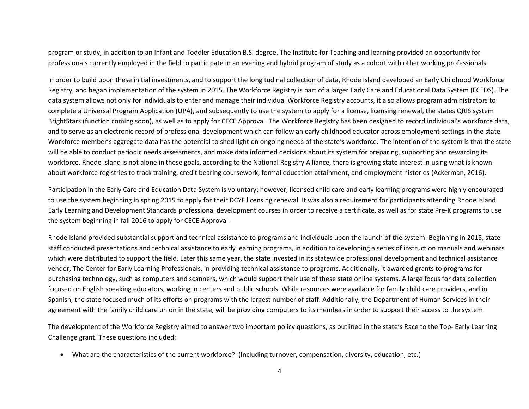program or study, in addition to an Infant and Toddler Education B.S. degree. The Institute for Teaching and learning provided an opportunity for professionals currently employed in the field to participate in an evening and hybrid program of study as a cohort with other working professionals.

In order to build upon these initial investments, and to support the longitudinal collection of data, Rhode Island developed an Early Childhood Workforce Registry, and began implementation of the system in 2015. The Workforce Registry is part of a larger Early Care and Educational Data System (ECEDS). The data system allows not only for individuals to enter and manage their individual Workforce Registry accounts, it also allows program administrators to complete a Universal Program Application (UPA), and subsequently to use the system to apply for a license, licensing renewal, the states QRIS system BrightStars (function coming soon), as well as to apply for CECE Approval. The Workforce Registry has been designed to record individual's workforce data, and to serve as an electronic record of professional development which can follow an early childhood educator across employment settings in the state. Workforce member's aggregate data has the potential to shed light on ongoing needs of the state's workforce. The intention of the system is that the state will be able to conduct periodic needs assessments, and make data informed decisions about its system for preparing, supporting and rewarding its workforce. Rhode Island is not alone in these goals, according to the National Registry Alliance, there is growing state interest in using what is known about workforce registries to track training, credit bearing coursework, formal education attainment, and employment histories (Ackerman, 2016).

Participation in the Early Care and Education Data System is voluntary; however, licensed child care and early learning programs were highly encouraged to use the system beginning in spring 2015 to apply for their DCYF licensing renewal. It was also a requirement for participants attending Rhode Island Early Learning and Development Standards professional development courses in order to receive a certificate, as well as for state Pre-K programs to use the system beginning in fall 2016 to apply for CECE Approval.

Rhode Island provided substantial support and technical assistance to programs and individuals upon the launch of the system. Beginning in 2015, state staff conducted presentations and technical assistance to early learning programs, in addition to developing a series of instruction manuals and webinars which were distributed to support the field. Later this same year, the state invested in its statewide professional development and technical assistance vendor, The Center for Early Learning Professionals, in providing technical assistance to programs. Additionally, it awarded grants to programs for purchasing technology, such as computers and scanners, which would support their use of these state online systems. A large focus for data collection focused on English speaking educators, working in centers and public schools. While resources were available for family child care providers, and in Spanish, the state focused much of its efforts on programs with the largest number of staff. Additionally, the Department of Human Services in their agreement with the family child care union in the state, will be providing computers to its members in order to support their access to the system.

The development of the Workforce Registry aimed to answer two important policy questions, as outlined in the state's Race to the Top- Early Learning Challenge grant. These questions included:

What are the characteristics of the current workforce? (Including turnover, compensation, diversity, education, etc.)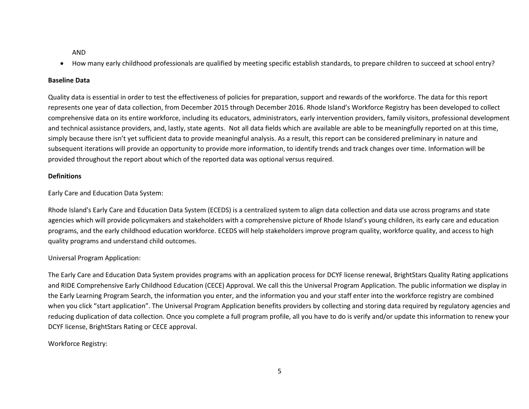AND

How many early childhood professionals are qualified by meeting specific establish standards, to prepare children to succeed at school entry?

### **Baseline Data**

Quality data is essential in order to test the effectiveness of policies for preparation, support and rewards of the workforce. The data for this report represents one year of data collection, from December 2015 through December 2016. Rhode Island's Workforce Registry has been developed to collect comprehensive data on its entire workforce, including its educators, administrators, early intervention providers, family visitors, professional development and technical assistance providers, and, lastly, state agents. Not all data fields which are available are able to be meaningfully reported on at this time, simply because there isn't yet sufficient data to provide meaningful analysis. As a result, this report can be considered preliminary in nature and subsequent iterations will provide an opportunity to provide more information, to identify trends and track changes over time. Information will be provided throughout the report about which of the reported data was optional versus required.

### **Definitions**

Early Care and Education Data System:

Rhode Island's Early Care and Education Data System (ECEDS) is a centralized system to align data collection and data use across programs and state agencies which will provide policymakers and stakeholders with a comprehensive picture of Rhode Island's young children, its early care and education programs, and the early childhood education workforce. ECEDS will help stakeholders improve program quality, workforce quality, and access to high quality programs and understand child outcomes.

# Universal Program Application:

The Early Care and Education Data System provides programs with an application process for DCYF license renewal, BrightStars Quality Rating applications and RIDE Comprehensive Early Childhood Education (CECE) Approval. We call this the Universal Program Application. The public information we display in the Early Learning Program Search, the information you enter, and the information you and your staff enter into the workforce registry are combined when you click "start application". The Universal Program Application benefits providers by collecting and storing data required by regulatory agencies and reducing duplication of data collection. Once you complete a full program profile, all you have to do is verify and/or update this information to renew your DCYF license, BrightStars Rating or CECE approval.

# Workforce Registry: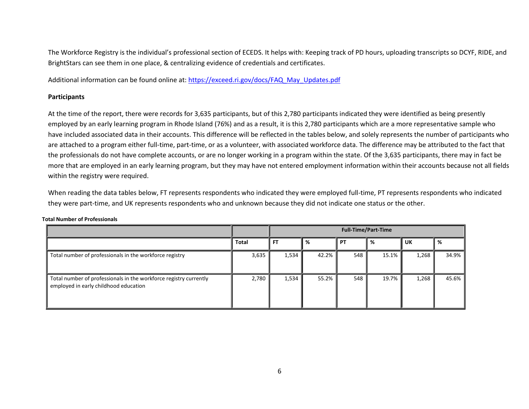The Workforce Registry is the individual's professional section of ECEDS. It helps with: Keeping track of PD hours, uploading transcripts so DCYF, RIDE, and BrightStars can see them in one place, & centralizing evidence of credentials and certificates.

Additional information can be found online at: [https://exceed.ri.gov/docs/FAQ\\_May\\_Updates.pdf](https://exceed.ri.gov/docs/FAQ_May_Updates.pdf)

### **Participants**

At the time of the report, there were records for 3,635 participants, but of this 2,780 participants indicated they were identified as being presently employed by an early learning program in Rhode Island (76%) and as a result, it is this 2,780 participants which are a more representative sample who have included associated data in their accounts. This difference will be reflected in the tables below, and solely represents the number of participants who are attached to a program either full-time, part-time, or as a volunteer, with associated workforce data. The difference may be attributed to the fact that the professionals do not have complete accounts, or are no longer working in a program within the state. Of the 3,635 participants, there may in fact be more that are employed in an early learning program, but they may have not entered employment information within their accounts because not all fields within the registry were required.

When reading the data tables below, FT represents respondents who indicated they were employed full-time, PT represents respondents who indicated they were part-time, and UK represents respondents who and unknown because they did not indicate one status or the other.

|                                                                                                            |              | <b>Full-Time/Part-Time</b> |       |     |       |       |       |  |  |  |
|------------------------------------------------------------------------------------------------------------|--------------|----------------------------|-------|-----|-------|-------|-------|--|--|--|
|                                                                                                            | <b>Total</b> | <b>FT</b>                  | %     | PT  | %     | UK    | %     |  |  |  |
| Total number of professionals in the workforce registry                                                    | 3,635        | 1,534                      | 42.2% | 548 | 15.1% | 1,268 | 34.9% |  |  |  |
| Total number of professionals in the workforce registry currently<br>employed in early childhood education | 2,780        | 1,534                      | 55.2% | 548 | 19.7% | 1,268 | 45.6% |  |  |  |

#### **Total Number of Professionals**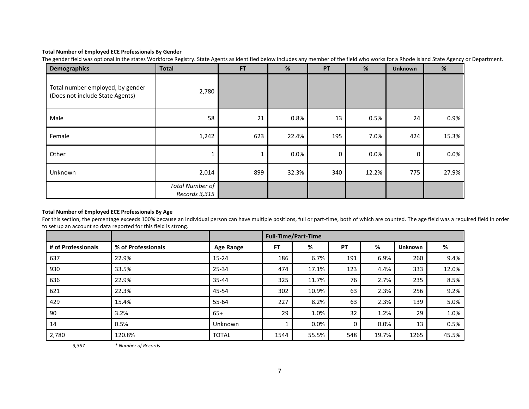### **Total Number of Employed ECE Professionals By Gender**

The gender field was optional in the states Workforce Registry. State Agents as identified below includes any member of the field who works for a Rhode Island State Agency or Department.

| <b>Demographics</b>                                                 | <b>Total</b>                            | <b>FT</b> | $\%$    | PT  | %       | <b>Unknown</b> | $\%$  |
|---------------------------------------------------------------------|-----------------------------------------|-----------|---------|-----|---------|----------------|-------|
| Total number employed, by gender<br>(Does not include State Agents) | 2,780                                   |           |         |     |         |                |       |
| Male                                                                | 58                                      | 21        | 0.8%    | 13  | 0.5%    | 24             | 0.9%  |
| Female                                                              | 1,242                                   | 623       | 22.4%   | 195 | 7.0%    | 424            | 15.3% |
| Other                                                               | T                                       |           | $0.0\%$ | 0   | $0.0\%$ | 0              | 0.0%  |
| Unknown                                                             | 2,014                                   | 899       | 32.3%   | 340 | 12.2%   | 775            | 27.9% |
|                                                                     | <b>Total Number of</b><br>Records 3,315 |           |         |     |         |                |       |

### **Total Number of Employed ECE Professionals By Age**

For this section, the percentage exceeds 100% because an individual person can have multiple positions, full or part-time, both of which are counted. The age field was a required field in order to set up an account so data reported for this field is strong.

|                    |                    |                  |      | <b>Full-Time/Part-Time</b> |     |       |                |       |
|--------------------|--------------------|------------------|------|----------------------------|-----|-------|----------------|-------|
| # of Professionals | % of Professionals | <b>Age Range</b> | FT   | %                          | PT  | %     | <b>Unknown</b> | %     |
| 637                | 22.9%              | $15 - 24$        | 186  | 6.7%                       | 191 | 6.9%  | 260            | 9.4%  |
| 930                | 33.5%              | 25-34            | 474  | 17.1%                      | 123 | 4.4%  | 333            | 12.0% |
| 636                | 22.9%              | $35 - 44$        | 325  | 11.7%                      | 76  | 2.7%  | 235            | 8.5%  |
| 621                | 22.3%              | 45-54            | 302  | 10.9%                      | 63  | 2.3%  | 256            | 9.2%  |
| 429                | 15.4%              | 55-64            | 227  | 8.2%                       | 63  | 2.3%  | 139            | 5.0%  |
| 90                 | 3.2%               | $65+$            | 29   | 1.0%                       | 32  | 1.2%  | 29             | 1.0%  |
| 14                 | 0.5%               | Unknown          |      | $0.0\%$                    |     | 0.0%  | 13             | 0.5%  |
| 2,780              | 120.8%             | <b>TOTAL</b>     | 1544 | 55.5%                      | 548 | 19.7% | 1265           | 45.5% |

*3,357 \* Number of Records*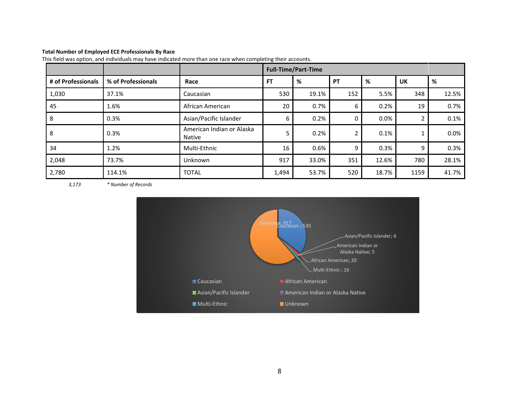### **Total Number of Employed ECE Professionals By Race**

|                    |                    |                                     |           | <b>Full-Time/Part-Time</b> |     |       |      |         |
|--------------------|--------------------|-------------------------------------|-----------|----------------------------|-----|-------|------|---------|
| # of Professionals | % of Professionals | Race                                | <b>FT</b> | %                          | PT  | %     | UK   | %       |
| 1,030              | 37.1%              | Caucasian                           | 530       | 19.1%                      | 152 | 5.5%  | 348  | 12.5%   |
| 45                 | 1.6%               | African American                    | 20        | 0.7%                       | 6   | 0.2%  | 19   | 0.7%    |
| 8                  | 0.3%               | Asian/Pacific Islander              | 6         | 0.2%                       | 0   | 0.0%  |      | 0.1%    |
| 8                  | 0.3%               | American Indian or Alaska<br>Native |           | 0.2%                       | 2   | 0.1%  |      | $0.0\%$ |
| 34                 | 1.2%               | Multi-Ethnic                        | 16        | 0.6%                       | 9   | 0.3%  | q    | 0.3%    |
| 2,048              | 73.7%              | Unknown                             | 917       | 33.0%                      | 351 | 12.6% | 780  | 28.1%   |
| 2,780              | 114.1%             | <b>TOTAL</b>                        | 1,494     | 53.7%                      | 520 | 18.7% | 1159 | 41.7%   |

This field was option, and individuals may have indicated more than one race when completing their accounts.

*3,173 \* Number of Records*

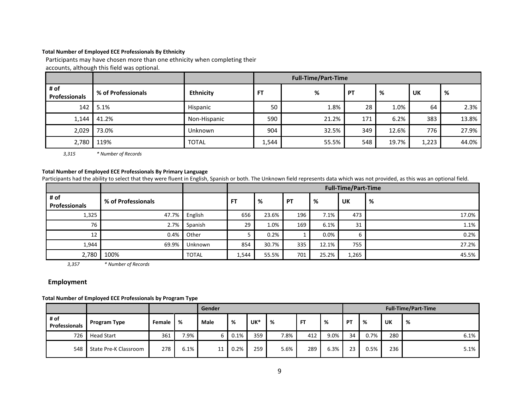### **Total Number of Employed ECE Professionals By Ethnicity**

Participants may have chosen more than one ethnicity when completing their

accounts, although this field was optional.

|                              |                    |                  | <b>Full-Time/Part-Time</b> |       |     |       |       |       |  |  |  |  |
|------------------------------|--------------------|------------------|----------------------------|-------|-----|-------|-------|-------|--|--|--|--|
| # of<br><b>Professionals</b> | % of Professionals | <b>Ethnicity</b> | FT                         | %     | PT  | %     | UK    | %     |  |  |  |  |
| 142                          | 5.1%               | <b>Hispanic</b>  | 50                         | 1.8%  | 28  | 1.0%  | 64    | 2.3%  |  |  |  |  |
| 1,144                        | 41.2%              | Non-Hispanic     | 590                        | 21.2% | 171 | 6.2%  | 383   | 13.8% |  |  |  |  |
| 2,029                        | 73.0%              | Unknown          | 904                        | 32.5% | 349 | 12.6% | 776   | 27.9% |  |  |  |  |
| 2,780                        | 119%               | <b>TOTAL</b>     | 1,544                      | 55.5% | 548 | 19.7% | 1,223 | 44.0% |  |  |  |  |

*3,315 \* Number of Records*

#### **Total Number of Employed ECE Professionals By Primary Language**

Participants had the ability to select that they were fluent in English, Spanish or both. The Unknown field represents data which was not provided, as this was an optional field.

|                       |                    |                |           | <b>Full-Time/Part-Time</b> |           |       |           |       |  |  |  |  |
|-----------------------|--------------------|----------------|-----------|----------------------------|-----------|-------|-----------|-------|--|--|--|--|
| # of<br>Professionals | % of Professionals |                | <b>FT</b> | %                          | <b>PT</b> | %     | <b>UK</b> | %     |  |  |  |  |
| 1,325                 | 47.7%              | English        | 656       | 23.6%                      | 196       | 7.1%  | 473       | 17.0% |  |  |  |  |
| 76                    | 2.7%               | Spanish        | 29        | 1.0%                       | 169       | 6.1%  | 31        | 1.1%  |  |  |  |  |
| 12                    | 0.4%               | Other          |           | 0.2%                       |           | 0.0%  | b         | 0.2%  |  |  |  |  |
| 1,944                 | 69.9%              | <b>Unknown</b> | 854       | 30.7%                      | 335       | 12.1% | 755       | 27.2% |  |  |  |  |
| 2,780                 | 100%               | <b>TOTAL</b>   | 1,544     | 55.5%                      | 701       | 25.2% | 1,265     | 45.5% |  |  |  |  |

*3,357 \* Number of Records*

### **Employment**

#### **Total Number of Employed ECE Professionals by Program Type**

|                              |                       |        |      | Gender |      |     |      |           | <b>Full-Time/Part-Time</b> |    |      |     |      |
|------------------------------|-----------------------|--------|------|--------|------|-----|------|-----------|----------------------------|----|------|-----|------|
| # of<br><b>Professionals</b> | Program Type          | Female | %    | Male   | %    | UK* | %    | <b>FT</b> | %                          | PT | %    | UK  | - %  |
| 726                          | <b>Head Start</b>     | 361    | 7.9% |        | 0.1% | 359 | 7.8% | 412       | 9.0%                       | 34 | 0.7% | 280 | 6.1% |
| 548                          | State Pre-K Classroom | 278    | 6.1% | 11     | 0.2% | 259 | 5.6% | 289       | 6.3%                       | 23 | 0.5% | 236 | 5.1% |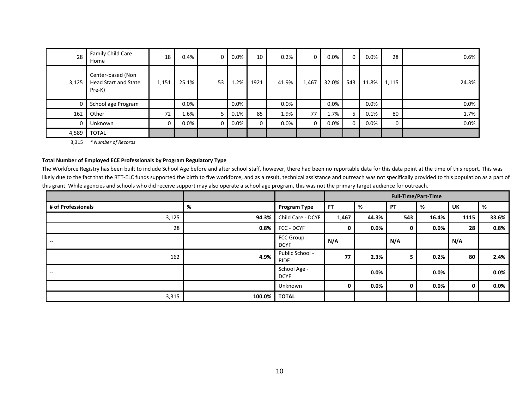| 28    | Family Child Care<br>Home                                  | 18    | $0.4\%$ | 0  | $0.0\%$ | 10   | 0.2%    | 0     | $0.0\%$ | $\mathbf 0$ | 0.0%  | 28          | 0.6%    |
|-------|------------------------------------------------------------|-------|---------|----|---------|------|---------|-------|---------|-------------|-------|-------------|---------|
| 3,125 | Center-based (Non<br><b>Head Start and State</b><br>Pre-K) | 1,151 | 25.1%   | 53 | 1.2%    | 1921 | 41.9%   | 1,467 | 32.0%   | 543         | 11.8% | 1,115       | 24.3%   |
| 0     | School age Program                                         |       | 0.0%    |    | $0.0\%$ |      | $0.0\%$ |       | 0.0%    |             | 0.0%  |             | $0.0\%$ |
| 162   | Other                                                      | 72    | 1.6%    |    | 0.1%    | 85   | 1.9%    | 77    | 1.7%    |             | 0.1%  | 80          | 1.7%    |
| 0     | Unknown                                                    |       | $0.0\%$ |    | 0.0%    | 0    | $0.0\%$ | 0     | 0.0%    | 0           | 0.0%  | $\mathbf 0$ | $0.0\%$ |
| 4,589 | <b>TOTAL</b>                                               |       |         |    |         |      |         |       |         |             |       |             |         |

3,315 *\* Number of Records*

### **Total Number of Employed ECE Professionals by Program Regulatory Type**

The Workforce Registry has been built to include School Age before and after school staff, however, there had been no reportable data for this data point at the time of this report. This was likely due to the fact that the RTT-ELC funds supported the birth to five workforce, and as a result, technical assistance and outreach was not specifically provided to this population as a part of this grant. While agencies and schools who did receive support may also operate a school age program, this was not the primary target audience for outreach.

|                    |        |                                |           |         |           | <b>Full-Time/Part-Time</b> |           |         |
|--------------------|--------|--------------------------------|-----------|---------|-----------|----------------------------|-----------|---------|
| # of Professionals | %      | Program Type                   | <b>FT</b> | %       | <b>PT</b> | %                          | <b>UK</b> | %       |
| 3,125              | 94.3%  | Child Care - DCYF              | 1,467     | 44.3%   | 543       | 16.4%                      | 1115      | 33.6%   |
| 28                 | 0.8%   | FCC - DCYF                     | n         | $0.0\%$ | 0         | $0.0\%$                    | 28        | 0.8%    |
| $- -$              |        | FCC Group -<br><b>DCYF</b>     | N/A       |         | N/A       |                            | N/A       |         |
| 162                | 4.9%   | Public School -<br><b>RIDE</b> | 77        | 2.3%    |           | 0.2%                       | 80        | 2.4%    |
| $\hspace{0.05cm}$  |        | School Age -<br><b>DCYF</b>    |           | $0.0\%$ |           | 0.0%                       |           | $0.0\%$ |
|                    |        | Unknown                        | 0         | $0.0\%$ | 0         | $0.0\%$                    | 0         | $0.0\%$ |
| 3,315              | 100.0% | <b>TOTAL</b>                   |           |         |           |                            |           |         |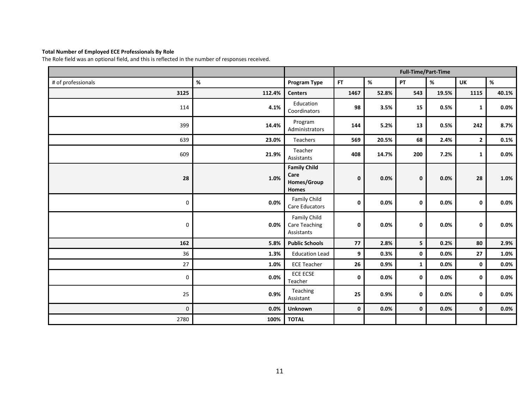### **Total Number of Employed ECE Professionals By Role**

The Role field was an optional field, and this is reflected in the number of responses received.

|                    |        |                                                     |             |       | <b>Full-Time/Part-Time</b> |         |              |         |
|--------------------|--------|-----------------------------------------------------|-------------|-------|----------------------------|---------|--------------|---------|
| # of professionals | $\%$   | Program Type                                        | <b>FT</b>   | $\%$  | PT                         | $\%$    | <b>UK</b>    | $\%$    |
| 3125               | 112.4% | <b>Centers</b>                                      | 1467        | 52.8% | 543                        | 19.5%   | 1115         | 40.1%   |
| 114                | 4.1%   | Education<br>Coordinators                           | 98          | 3.5%  | 15                         | 0.5%    | $\mathbf{1}$ | $0.0\%$ |
| 399                | 14.4%  | Program<br>Administrators                           | 144         | 5.2%  | 13                         | 0.5%    | 242          | 8.7%    |
| 639                | 23.0%  | Teachers                                            | 569         | 20.5% | 68                         | 2.4%    | $\mathbf{2}$ | 0.1%    |
| 609                | 21.9%  | Teacher<br>Assistants                               | 408         | 14.7% | 200                        | 7.2%    | $\mathbf{1}$ | $0.0\%$ |
| 28                 | 1.0%   | <b>Family Child</b><br>Care<br>Homes/Group<br>Homes | $\mathbf 0$ | 0.0%  | $\pmb{0}$                  | 0.0%    | 28           | 1.0%    |
| $\mathbf 0$        | 0.0%   | Family Child<br>Care Educators                      | 0           | 0.0%  | 0                          | 0.0%    | 0            | $0.0\%$ |
| $\pmb{0}$          | 0.0%   | Family Child<br><b>Care Teaching</b><br>Assistants  | $\pmb{0}$   | 0.0%  | 0                          | $0.0\%$ | 0            | $0.0\%$ |
| 162                | 5.8%   | <b>Public Schools</b>                               | 77          | 2.8%  | 5 <sub>1</sub>             | 0.2%    | 80           | 2.9%    |
| 36                 | 1.3%   | <b>Education Lead</b>                               | 9           | 0.3%  | $\mathbf 0$                | 0.0%    | 27           | 1.0%    |
| 27                 | 1.0%   | <b>ECE Teacher</b>                                  | 26          | 0.9%  | $\mathbf{1}$               | 0.0%    | 0            | $0.0\%$ |
| 0                  | 0.0%   | ECE ECSE<br>Teacher                                 | 0           | 0.0%  | 0                          | $0.0\%$ | 0            | $0.0\%$ |
| 25                 | 0.9%   | Teaching<br>Assistant                               | 25          | 0.9%  | $\mathbf 0$                | 0.0%    | 0            | $0.0\%$ |
| $\pmb{0}$          | 0.0%   | Unknown                                             | $\mathbf 0$ | 0.0%  | $\mathbf 0$                | 0.0%    | 0            | 0.0%    |
| 2780               | 100%   | <b>TOTAL</b>                                        |             |       |                            |         |              |         |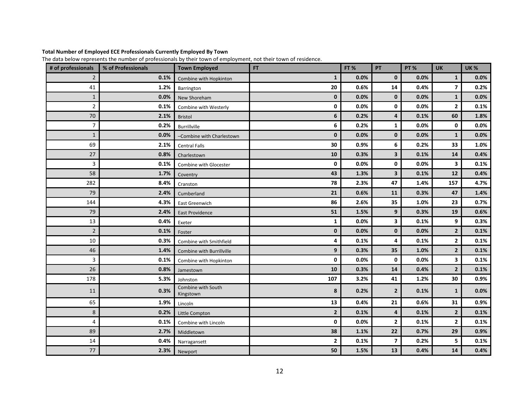### **Total Number of Employed ECE Professionals Currently Employed By Town**

The data below represents the number of professionals by their town of employment, not their town of residence.

| # of professionals | % of Professionals | <b>Town Employed</b>            | <b>FT</b>      | FT%  | PT                      | <b>PT %</b> | <b>UK</b>      | <b>UK%</b> |
|--------------------|--------------------|---------------------------------|----------------|------|-------------------------|-------------|----------------|------------|
| $\overline{2}$     | 0.1%               | Combine with Hopkinton          | $\mathbf{1}$   | 0.0% | $\mathbf 0$             | 0.0%        | 1              | 0.0%       |
| 41                 | 1.2%               | Barrington                      | 20             | 0.6% | 14                      | 0.4%        | $\overline{ }$ | 0.2%       |
| $\mathbf{1}$       | 0.0%               | New Shoreham                    | $\mathbf 0$    | 0.0% | $\mathbf{0}$            | 0.0%        | $\mathbf{1}$   | 0.0%       |
| $\overline{2}$     | 0.1%               | Combine with Westerly           | $\mathbf 0$    | 0.0% | 0                       | 0.0%        | $\mathbf{2}$   | 0.1%       |
| 70                 | 2.1%               | <b>Bristol</b>                  | 6              | 0.2% | 4                       | 0.1%        | 60             | 1.8%       |
| 7                  | 0.2%               | Burrillville                    | 6              | 0.2% | 1                       | 0.0%        | 0              | 0.0%       |
| $\mathbf{1}$       | 0.0%               | -Combine with Charlestown       | $\mathbf 0$    | 0.0% | $\mathbf 0$             | 0.0%        | $\mathbf{1}$   | 0.0%       |
| 69                 | 2.1%               | <b>Central Falls</b>            | 30             | 0.9% | 6                       | 0.2%        | 33             | 1.0%       |
| 27                 | 0.8%               | Charlestown                     | 10             | 0.3% | 3                       | 0.1%        | 14             | 0.4%       |
| 3                  | 0.1%               | Combine with Glocester          | 0              | 0.0% | 0                       | 0.0%        | 3              | 0.1%       |
| 58                 | 1.7%               | Coventry                        | 43             | 1.3% | $\overline{\mathbf{3}}$ | 0.1%        | 12             | 0.4%       |
| 282                | 8.4%               | Cranston                        | 78             | 2.3% | 47                      | 1.4%        | 157            | 4.7%       |
| 79                 | 2.4%               | Cumberland                      | 21             | 0.6% | 11                      | 0.3%        | 47             | 1.4%       |
| 144                | 4.3%               | East Greenwich                  | 86             | 2.6% | 35                      | 1.0%        | 23             | 0.7%       |
| 79                 | 2.4%               | <b>East Providence</b>          | 51             | 1.5% | 9                       | 0.3%        | 19             | 0.6%       |
| 13                 | 0.4%               | Exeter                          | 1              | 0.0% | 3                       | 0.1%        | 9              | 0.3%       |
| $\overline{2}$     | 0.1%               | Foster                          | $\mathbf 0$    | 0.0% | $\mathbf 0$             | 0.0%        | $\overline{2}$ | 0.1%       |
| 10                 | 0.3%               | Combine with Smithfield         | 4              | 0.1% | 4                       | 0.1%        | 2              | 0.1%       |
| 46                 | 1.4%               | Combine with Burrillville       | 9              | 0.3% | 35                      | 1.0%        | $\overline{2}$ | 0.1%       |
| 3                  | 0.1%               | Combine with Hopkinton          | 0              | 0.0% | 0                       | 0.0%        | 3              | 0.1%       |
| 26                 | 0.8%               | Jamestown                       | 10             | 0.3% | 14                      | 0.4%        | $\overline{2}$ | 0.1%       |
| 178                | 5.3%               | Johnston                        | 107            | 3.2% | 41                      | 1.2%        | 30             | 0.9%       |
| 11                 | 0.3%               | Combine with South<br>Kingstown | 8              | 0.2% | $\overline{2}$          | 0.1%        | $\mathbf{1}$   | 0.0%       |
| 65                 | 1.9%               | Lincoln                         | 13             | 0.4% | 21                      | 0.6%        | 31             | 0.9%       |
| 8                  | 0.2%               | Little Compton                  | $\mathbf{2}$   | 0.1% | 4                       | 0.1%        | $\overline{2}$ | 0.1%       |
| 4                  | 0.1%               | Combine with Lincoln            | 0              | 0.0% | $\mathbf{2}$            | 0.1%        | 2              | 0.1%       |
| 89                 | 2.7%               | Middletown                      | 38             | 1.1% | 22                      | 0.7%        | 29             | 0.9%       |
| 14                 | 0.4%               | Narragansett                    | $\overline{2}$ | 0.1% | $\overline{ }$          | 0.2%        | 5              | 0.1%       |
| 77                 | 2.3%               | Newport                         | 50             | 1.5% | 13                      | 0.4%        | 14             | 0.4%       |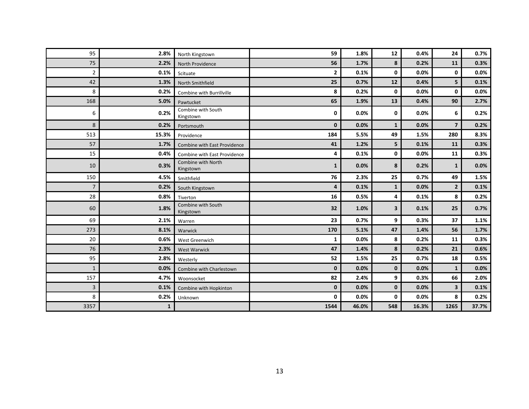| 95             | 2.8%         | North Kingstown                 | 59           | 1.8%  | 12           | 0.4%  | 24             | 0.7%    |
|----------------|--------------|---------------------------------|--------------|-------|--------------|-------|----------------|---------|
| 75             | 2.2%         | North Providence                | 56           | 1.7%  | 8            | 0.2%  | 11             | 0.3%    |
| $\overline{2}$ | 0.1%         | Scituate                        | $\mathbf{2}$ | 0.1%  | 0            | 0.0%  | 0              | 0.0%    |
| 42             | 1.3%         | North Smithfield                | 25           | 0.7%  | 12           | 0.4%  | 5              | 0.1%    |
| 8              | 0.2%         | Combine with Burrillville       | 8            | 0.2%  | $\mathbf 0$  | 0.0%  | 0              | $0.0\%$ |
| 168            | 5.0%         | Pawtucket                       | 65           | 1.9%  | 13           | 0.4%  | 90             | 2.7%    |
| 6              | 0.2%         | Combine with South<br>Kingstown | 0            | 0.0%  | $\mathbf 0$  | 0.0%  | 6              | 0.2%    |
| 8              | 0.2%         | Portsmouth                      | $\mathbf{0}$ | 0.0%  | $\mathbf{1}$ | 0.0%  | $\overline{7}$ | 0.2%    |
| 513            | 15.3%        | Providence                      | 184          | 5.5%  | 49           | 1.5%  | 280            | 8.3%    |
| 57             | 1.7%         | Combine with East Providence    | 41           | 1.2%  | 5            | 0.1%  | 11             | 0.3%    |
| 15             | 0.4%         | Combine with East Providence    | 4            | 0.1%  | 0            | 0.0%  | 11             | 0.3%    |
| 10             | 0.3%         | Combine with North<br>Kingstown | $\mathbf{1}$ | 0.0%  | 8            | 0.2%  | $\mathbf{1}$   | 0.0%    |
| 150            | 4.5%         | Smithfield                      | 76           | 2.3%  | 25           | 0.7%  | 49             | 1.5%    |
| $\overline{7}$ | 0.2%         | South Kingstown                 | 4            | 0.1%  | $\mathbf{1}$ | 0.0%  | $\overline{2}$ | 0.1%    |
| 28             | 0.8%         | Tiverton                        | 16           | 0.5%  | 4            | 0.1%  | 8              | 0.2%    |
| 60             | 1.8%         | Combine with South<br>Kingstown | 32           | 1.0%  | 3            | 0.1%  | 25             | 0.7%    |
| 69             | 2.1%         | Warren                          | 23           | 0.7%  | 9            | 0.3%  | 37             | 1.1%    |
| 273            | 8.1%         | Warwick                         | 170          | 5.1%  | 47           | 1.4%  | 56             | 1.7%    |
| 20             | 0.6%         | West Greenwich                  | 1            | 0.0%  | 8            | 0.2%  | 11             | 0.3%    |
| 76             | 2.3%         | <b>West Warwick</b>             | 47           | 1.4%  | 8            | 0.2%  | 21             | 0.6%    |
| 95             | 2.8%         | Westerly                        | 52           | 1.5%  | 25           | 0.7%  | 18             | 0.5%    |
| $\mathbf{1}$   | 0.0%         | Combine with Charlestown        | $\mathbf{0}$ | 0.0%  | $\mathbf{0}$ | 0.0%  | $\mathbf{1}$   | 0.0%    |
| 157            | 4.7%         | Woonsocket                      | 82           | 2.4%  | 9            | 0.3%  | 66             | 2.0%    |
| 3              | 0.1%         | Combine with Hopkinton          | $\bf{0}$     | 0.0%  | $\bf{0}$     | 0.0%  | $\mathbf{3}$   | 0.1%    |
| 8              | 0.2%         | Unknown                         | 0            | 0.0%  | 0            | 0.0%  | 8              | 0.2%    |
| 3357           | $\mathbf{1}$ |                                 | 1544         | 46.0% | 548          | 16.3% | 1265           | 37.7%   |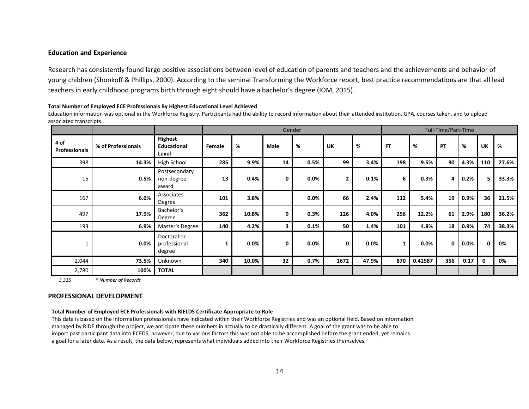#### **Education and Experience**

Research has consistently found large positive associations between level of education of parents and teachers and the achievements and behavior of young children (Shonkoff & Phillips, 2000). According to the seminal Transforming the Workforce report, best practice recommendations are that all lead teachers in early childhood programs birth through eight should have a bachelor's degree (IOM, 2015).

#### **Total Number of Employed ECE Professionals By Highest Educational Level Achieved**

Education information was optional in the Workforce Registry. Participants had the ability to record information about their attended institution, GPA, courses taken, and to upload associated transcripts.

|                              |                    |                                               |        |       |             | Gender |                |       |           |         | Full-Time/Part-Time |      |     |       |
|------------------------------|--------------------|-----------------------------------------------|--------|-------|-------------|--------|----------------|-------|-----------|---------|---------------------|------|-----|-------|
| # of<br><b>Professionals</b> | % of Professionals | <b>Highest</b><br><b>Educational</b><br>Level | Female | %     | Male        | %      | <b>UK</b>      | %     | <b>FT</b> | %       | <b>PT</b>           | %    | UK  | %     |
| 398                          | 14.3%              | High School                                   | 285    | 9.9%  | 14          | 0.5%   | 99             | 3.4%  | 198       | 9.5%    | 90                  | 4.3% | 110 | 27.6% |
| 15                           | 0.5%               | Postsecondary<br>non-degree<br>award          | 13     | 0.4%  | $\mathbf 0$ | 0.0%   | $\overline{2}$ | 0.1%  | 6         | 0.3%    | 4                   | 0.2% | 5   | 33.3% |
| 167                          | 6.0%               | Associates<br>Degree                          | 101    | 3.8%  |             | 0.0%   | 66             | 2.4%  | 112       | 5.4%    | 19                  | 0.9% | 36  | 21.5% |
| 497                          | 17.9%              | Bachelor's<br>Degree                          | 362    | 10.8% | 9           | 0.3%   | 126            | 4.0%  | 256       | 12.2%   | 61                  | 2.9% | 180 | 36.2% |
| 193                          | 6.9%               | Master's Degree                               | 140    | 4.2%  | 3           | 0.1%   | 50             | 1.4%  | 101       | 4.8%    | 18                  | 0.9% | 74  | 38.3% |
|                              | 0.0%               | Doctoral or<br>professional<br>degree         | 1      | 0.0%  | $\mathbf 0$ | 0.0%   | $\mathbf{0}$   | 0.0%  | 1         | 0.0%    | $\mathbf 0$         | 0.0% | 0   | 0%    |
| 2,044                        | 73.5%              | <b>Unknown</b>                                | 340    | 10.0% | 32          | 0.7%   | 1672           | 47.9% | 870       | 0.41587 | 356                 | 0.17 | 0   | 0%    |
| 2,780                        | 100%               | <b>TOTAL</b>                                  |        |       |             |        |                |       |           |         |                     |      |     |       |

 *3,315 \* Number of Records*

#### **PROFESSIONAL DEVELOPMENT**

#### **Total Number of Employed ECE Professionals with RIELDS Certificate Appropriate to Role**

This data is based on the information professionals have indicated within their Workforce Registries and was an optional field. Based on information managed by RIDE through the project, we anticipate these numbers in actually to be drastically different. A goal of the grant was to be able to import past participant data into ECEDS, however, due to various factors this was not able to be accomplished before the grant ended, yet remains a goal for a later date. As a result, the data below, represents what individuals added into their Workforce Registries themselves.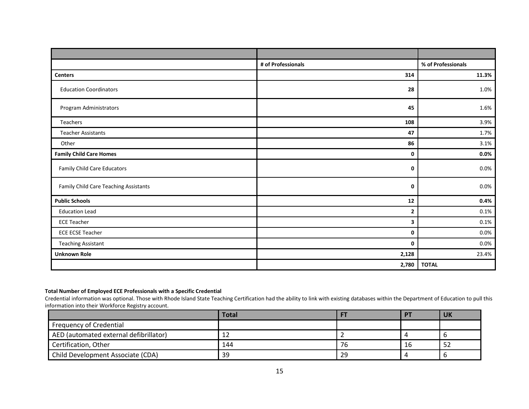|                                       | # of Professionals | % of Professionals |
|---------------------------------------|--------------------|--------------------|
| <b>Centers</b>                        | 314                | 11.3%              |
| <b>Education Coordinators</b>         | 28                 | 1.0%               |
| Program Administrators                | 45                 | 1.6%               |
| Teachers                              | 108                | 3.9%               |
| <b>Teacher Assistants</b>             | 47                 | 1.7%               |
| Other                                 | 86                 | 3.1%               |
| <b>Family Child Care Homes</b>        | 0                  | $0.0\%$            |
| <b>Family Child Care Educators</b>    | 0                  | 0.0%               |
| Family Child Care Teaching Assistants | 0                  | $0.0\%$            |
| <b>Public Schools</b>                 | 12                 | 0.4%               |
| <b>Education Lead</b>                 | 2                  | 0.1%               |
| <b>ECE Teacher</b>                    | 3                  | 0.1%               |
| <b>ECE ECSE Teacher</b>               | 0                  | 0.0%               |
| <b>Teaching Assistant</b>             | 0                  | 0.0%               |
| <b>Unknown Role</b>                   | 2,128              | 23.4%              |
|                                       | 2,780              | <b>TOTAL</b>       |

### **Total Number of Employed ECE Professionals with a Specific Credential**

Credential information was optional. Those with Rhode Island State Teaching Certification had the ability to link with existing databases within the Department of Education to pull this information into their Workforce Registry account.

|                                        | <b>Total</b> |    | <b>PT</b> | <b>UK</b> |
|----------------------------------------|--------------|----|-----------|-----------|
| Frequency of Credential                |              |    |           |           |
| AED (automated external defibrillator) | ᅩᄼ           |    |           |           |
| Certification, Other                   | 144          | 76 | -16       | ےر        |
| Child Development Associate (CDA)      | 39           | 29 |           |           |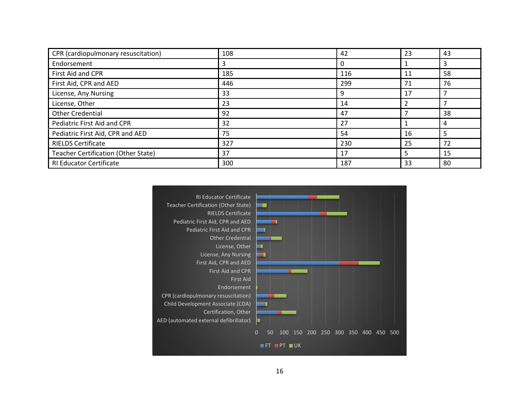| CPR (cardiopulmonary resuscitation) | 108 | 42  | 23 | 43 |
|-------------------------------------|-----|-----|----|----|
| Endorsement                         |     |     |    |    |
| First Aid and CPR                   | 185 | 116 | 11 | 58 |
| First Aid, CPR and AED              | 446 | 299 | 71 | 76 |
| License, Any Nursing                | 33  | 9   | 17 |    |
| License, Other                      | 23  | 14  |    |    |
| <b>Other Credential</b>             | 92  | 47  |    | 38 |
| Pediatric First Aid and CPR         | 32  | 27  |    |    |
| Pediatric First Aid, CPR and AED    | 75  | 54  | 16 |    |
| <b>RIELDS Certificate</b>           | 327 | 230 | 25 | 72 |
| Teacher Certification (Other State) | 37  | 17  | 5  | 15 |
| <b>RI Educator Certificate</b>      | 300 | 187 | 33 | 80 |

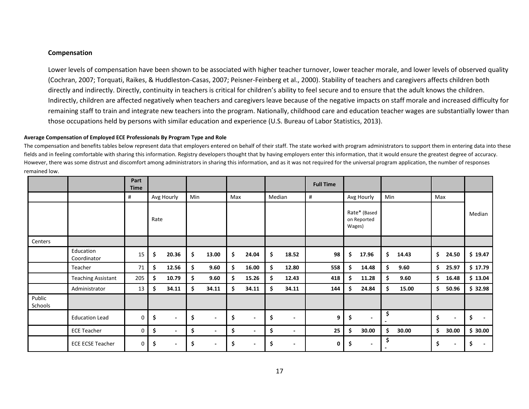### **Compensation**

Lower levels of compensation have been shown to be associated with higher teacher turnover, lower teacher morale, and lower levels of observed quality (Cochran, 2007; Torquati, Raikes, & Huddleston-Casas, 2007; Peisner-Feinberg et al., 2000). Stability of teachers and caregivers affects children both directly and indirectly. Directly, continuity in teachers is critical for children's ability to feel secure and to ensure that the adult knows the children. Indirectly, children are affected negatively when teachers and caregivers leave because of the negative impacts on staff morale and increased difficulty for remaining staff to train and integrate new teachers into the program. Nationally, childhood care and education teacher wages are substantially lower than those occupations held by persons with similar education and experience (U.S. Bureau of Labor Statistics, 2013).

#### **Average Compensation of Employed ECE Professionals By Program Type and Role**

The compensation and benefits tables below represent data that employers entered on behalf of their staff. The state worked with program administrators to support them in entering data into these fields and in feeling comfortable with sharing this information. Registry developers thought that by having employers enter this information, that it would ensure the greatest degree of accuracy. However, there was some distrust and discomfort among administrators in sharing this information, and as it was not required for the universal program application, the number of responses remained low.

|                   |                           | Part<br><b>Time</b> |      |                          |     |                          |     |                          |        |                          | <b>Full Time</b> |    |                                       |     |       |     |                          |         |
|-------------------|---------------------------|---------------------|------|--------------------------|-----|--------------------------|-----|--------------------------|--------|--------------------------|------------------|----|---------------------------------------|-----|-------|-----|--------------------------|---------|
|                   |                           | #                   |      | Avg Hourly               | Min |                          | Max |                          | Median |                          | #                |    | Avg Hourly                            | Min |       | Max |                          |         |
|                   |                           |                     | Rate |                          |     |                          |     |                          |        |                          |                  |    | Rate* (Based<br>on Reported<br>Wages) |     |       |     |                          | Median  |
| Centers           |                           |                     |      |                          |     |                          |     |                          |        |                          |                  |    |                                       |     |       |     |                          |         |
|                   | Education<br>Coordinator  | 15                  | \$   | 20.36                    | \$  | 13.00                    | \$. | 24.04                    | \$     | 18.52                    | 98               | S  | 17.96                                 | \$  | 14.43 | \$. | 24.50                    | \$19.47 |
|                   | Teacher                   | 71                  | \$   | 12.56                    | \$  | 9.60                     | \$  | 16.00                    | \$.    | 12.80                    | 558              | Ś. | 14.48                                 | \$. | 9.60  |     | \$25.97                  | \$17.79 |
|                   | <b>Teaching Assistant</b> | 205                 | \$   | 10.79                    | \$  | 9.60                     | \$. | 15.26                    | \$     | 12.43                    | 418              |    | 11.28                                 | \$  | 9.60  | \$. | 16.48                    | \$13.04 |
|                   | Administrator             | 13                  | \$   | 34.11                    | \$  | 34.11                    | \$. | 34.11                    | \$     | 34.11                    | 144              | \$ | 24.84                                 | \$. | 15.00 | \$  | 50.96                    | \$32.98 |
| Public<br>Schools |                           |                     |      |                          |     |                          |     |                          |        |                          |                  |    |                                       |     |       |     |                          |         |
|                   | <b>Education Lead</b>     | 0                   | \$   | $\overline{\phantom{a}}$ | \$  | $\overline{a}$           | \$  | $\overline{\phantom{a}}$ | \$     | $\blacksquare$           | 9                | \$ | $\mathbf{r}$                          | \$  |       | \$  | $\blacksquare$           | \$      |
|                   | <b>ECE Teacher</b>        | 0                   | \$   | $\overline{\phantom{0}}$ | \$  | $\blacksquare$           | \$  | $\overline{\phantom{a}}$ | \$     | $\overline{\phantom{a}}$ | 25               | Ŝ. | 30.00                                 | \$  | 30.00 | \$. | 30.00                    | \$30.00 |
|                   | <b>ECE ECSE Teacher</b>   | 0                   | \$   |                          | \$  | $\overline{\phantom{a}}$ | \$  | $\overline{\phantom{a}}$ | \$     | $\overline{\phantom{a}}$ | 0                | Ś  | $\overline{\phantom{0}}$              | \$  |       | \$  | $\overline{\phantom{a}}$ | Ś       |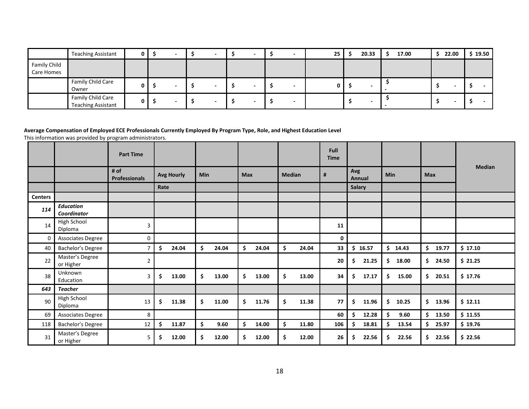|                            | <b>Teaching Assistant</b>                      |   |  |  |  | - | 25 | 20.33 | 17.00 |  | 22.00 | 19.50 |
|----------------------------|------------------------------------------------|---|--|--|--|---|----|-------|-------|--|-------|-------|
| Family Child<br>Care Homes |                                                |   |  |  |  |   |    |       |       |  |       |       |
|                            | Family Child Care<br>Owner                     |   |  |  |  |   |    |       |       |  |       |       |
|                            | Family Child Care<br><b>Teaching Assistant</b> | u |  |  |  |   |    |       |       |  |       |       |

### **Average Compensation of Employed ECE Professionals Currently Employed By Program Type, Role, and Highest Education Level**

This information was provided by program administrators.

|                |                                        | <b>Part Time</b>             |      |                   |            |       |            |       |               |       | <b>Full</b><br><b>Time</b> |     |               |     |         |             |               |
|----------------|----------------------------------------|------------------------------|------|-------------------|------------|-------|------------|-------|---------------|-------|----------------------------|-----|---------------|-----|---------|-------------|---------------|
|                |                                        | # of<br><b>Professionals</b> |      | <b>Avg Hourly</b> | <b>Min</b> |       | <b>Max</b> |       | <b>Median</b> |       | #                          | Avg | Annual        | Min |         | <b>Max</b>  | <b>Median</b> |
|                |                                        |                              | Rate |                   |            |       |            |       |               |       |                            |     | <b>Salary</b> |     |         |             |               |
| <b>Centers</b> |                                        |                              |      |                   |            |       |            |       |               |       |                            |     |               |     |         |             |               |
| 114            | <b>Education</b><br><b>Coordinator</b> |                              |      |                   |            |       |            |       |               |       |                            |     |               |     |         |             |               |
| 14             | High School<br>Diploma                 | 3                            |      |                   |            |       |            |       |               |       | 11                         |     |               |     |         |             |               |
| 0              | Associates Degree                      | $\boldsymbol{0}$             |      |                   |            |       |            |       |               |       | 0                          |     |               |     |         |             |               |
| 40             | Bachelor's Degree                      | $\overline{7}$               | Ś    | 24.04             | \$         | 24.04 | \$         | 24.04 | \$            | 24.04 | 33                         |     | \$16.57       |     | \$14.43 | \$<br>19.77 | \$17.10       |
| 22             | Master's Degree<br>or Higher           | $\overline{2}$               |      |                   |            |       |            |       |               |       | 20                         | \$. | 21.25         | \$  | 18.00   | \$<br>24.50 | \$21.25       |
| 38             | Unknown<br>Education                   | 3                            | \$.  | 13.00             | \$         | 13.00 | \$         | 13.00 | \$            | 13.00 | 34                         | \$  | 17.17         | \$  | 15.00   | \$<br>20.51 | \$17.76       |
| 643            | <b>Teacher</b>                         |                              |      |                   |            |       |            |       |               |       |                            |     |               |     |         |             |               |
| 90             | High School<br>Diploma                 | 13                           | \$   | 11.38             | \$.        | 11.00 | \$         | 11.76 | \$            | 11.38 | 77                         | \$  | 11.96         | \$  | 10.25   | \$<br>13.96 | \$12.11       |
| 69             | Associates Degree                      | 8                            |      |                   |            |       |            |       |               |       | 60                         | \$. | 12.28         | \$  | 9.60    | \$<br>13.50 | \$11.55       |
| 118            | Bachelor's Degree                      | 12                           | \$   | 11.87             | \$         | 9.60  | \$         | 14.00 | \$            | 11.80 | 106                        | S.  | 18.81         | \$  | 13.54   | \$<br>25.97 | \$19.76       |
| 31             | Master's Degree<br>or Higher           | 5                            | \$.  | 12.00             | \$.        | 12.00 | \$.        | 12.00 | \$            | 12.00 | 26                         | Ś.  | 22.56         | \$  | 22.56   | \$<br>22.56 | \$22.56       |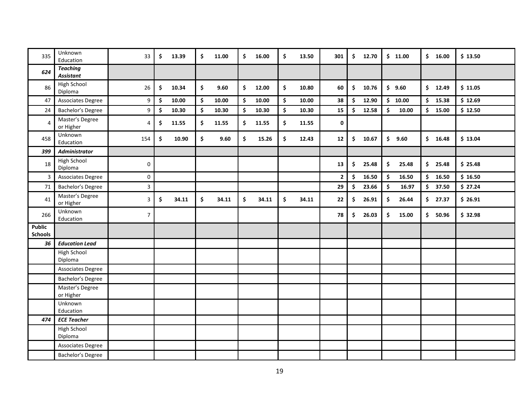| 335                             | Unknown<br>Education                | 33                        | \$<br>13.39 | \$<br>11.00 | \$<br>16.00 | \$<br>13.50 | 301            | $\frac{1}{2}$ | 12.70 | \$11.00                      | \$16.00      | \$13.50 |
|---------------------------------|-------------------------------------|---------------------------|-------------|-------------|-------------|-------------|----------------|---------------|-------|------------------------------|--------------|---------|
| 624                             | <b>Teaching</b><br><b>Assistant</b> |                           |             |             |             |             |                |               |       |                              |              |         |
| 86                              | High School<br>Diploma              | 26                        | \$<br>10.34 | \$<br>9.60  | \$<br>12.00 | \$<br>10.80 | 60             | \$            | 10.76 | \$9.60                       | \$<br>12.49  | \$11.05 |
| 47                              | Associates Degree                   | 9                         | \$<br>10.00 | \$<br>10.00 | \$<br>10.00 | \$<br>10.00 | 38             | \$            | 12.90 | \$10.00                      | \$<br>15.38  | \$12.69 |
| 24                              | Bachelor's Degree                   | 9                         | \$<br>10.30 | \$<br>10.30 | \$<br>10.30 | \$<br>10.30 | 15             | \$            | 12.58 | \$<br>10.00                  | \$<br>15.00  | \$12.50 |
| 4                               | Master's Degree<br>or Higher        | 4                         | \$<br>11.55 | \$<br>11.55 | \$<br>11.55 | \$<br>11.55 | $\mathbf 0$    |               |       |                              |              |         |
| 458                             | Unknown<br>Education                | 154                       | \$<br>10.90 | \$<br>9.60  | \$<br>15.26 | \$<br>12.43 | 12             | \$            | 10.67 | \$<br>9.60                   | \$<br>16.48  | \$13.04 |
| 399                             | <b>Administrator</b>                |                           |             |             |             |             |                |               |       |                              |              |         |
| 18                              | High School<br>Diploma              | $\mathbf 0$               |             |             |             |             | 13             | \$            | 25.48 | \$<br>25.48                  | \$25.48      | \$25.48 |
| 3                               | Associates Degree                   | $\mathbf 0$               |             |             |             |             | $\overline{2}$ | \$            | 16.50 | $\ddot{\bm{\zeta}}$<br>16.50 | \$<br>16.50  | \$16.50 |
| $71\,$                          | Bachelor's Degree                   | $\ensuremath{\mathsf{3}}$ |             |             |             |             | 29             | \$            | 23.66 | \$<br>16.97                  | \$<br>37.50  | \$27.24 |
| 41                              | Master's Degree<br>or Higher        | $\mathsf 3$               | \$<br>34.11 | \$<br>34.11 | \$<br>34.11 | \$<br>34.11 | 22             | \$            | 26.91 | \$<br>26.44                  | 27.37<br>\$. | \$26.91 |
| 266                             | Unknown<br>Education                | $\overline{7}$            |             |             |             |             | 78             | \$            | 26.03 | \$<br>15.00                  | \$.<br>50.96 | \$32.98 |
| <b>Public</b><br><b>Schools</b> |                                     |                           |             |             |             |             |                |               |       |                              |              |         |
| 36                              | <b>Education Lead</b>               |                           |             |             |             |             |                |               |       |                              |              |         |
|                                 | <b>High School</b><br>Diploma       |                           |             |             |             |             |                |               |       |                              |              |         |
|                                 | Associates Degree                   |                           |             |             |             |             |                |               |       |                              |              |         |
|                                 | Bachelor's Degree                   |                           |             |             |             |             |                |               |       |                              |              |         |
|                                 | Master's Degree<br>or Higher        |                           |             |             |             |             |                |               |       |                              |              |         |
|                                 | Unknown<br>Education                |                           |             |             |             |             |                |               |       |                              |              |         |
| 474                             | <b>ECE Teacher</b>                  |                           |             |             |             |             |                |               |       |                              |              |         |
|                                 | High School<br>Diploma              |                           |             |             |             |             |                |               |       |                              |              |         |
|                                 | Associates Degree                   |                           |             |             |             |             |                |               |       |                              |              |         |
|                                 | Bachelor's Degree                   |                           |             |             |             |             |                |               |       |                              |              |         |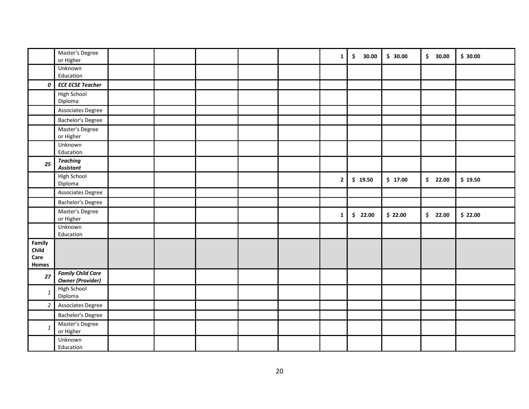|                                  | Master's Degree<br>or Higher                        |  |  | $\mathbf{1}$ | $\ddot{\mathsf{s}}$<br>30.00 | \$30.00 | \$30.00 | \$30.00 |
|----------------------------------|-----------------------------------------------------|--|--|--------------|------------------------------|---------|---------|---------|
|                                  | Unknown<br>Education                                |  |  |              |                              |         |         |         |
| 0                                | <b>ECE ECSE Teacher</b>                             |  |  |              |                              |         |         |         |
|                                  | High School<br>Diploma                              |  |  |              |                              |         |         |         |
|                                  | Associates Degree                                   |  |  |              |                              |         |         |         |
|                                  | Bachelor's Degree                                   |  |  |              |                              |         |         |         |
|                                  | Master's Degree<br>or Higher                        |  |  |              |                              |         |         |         |
|                                  | Unknown<br>Education                                |  |  |              |                              |         |         |         |
| 25                               | <b>Teaching</b><br><b>Assistant</b>                 |  |  |              |                              |         |         |         |
|                                  | <b>High School</b><br>Diploma                       |  |  | $\mathbf{2}$ | \$19.50                      | \$17.00 | \$22.00 | \$19.50 |
|                                  | Associates Degree                                   |  |  |              |                              |         |         |         |
|                                  | Bachelor's Degree                                   |  |  |              |                              |         |         |         |
|                                  | Master's Degree<br>or Higher                        |  |  | $\mathbf{1}$ | \$22.00                      | \$22.00 | \$22.00 | \$22.00 |
|                                  | Unknown<br>Education                                |  |  |              |                              |         |         |         |
| Family<br>Child<br>Care<br>Homes |                                                     |  |  |              |                              |         |         |         |
| 27                               | <b>Family Child Care</b><br><b>Owner (Provider)</b> |  |  |              |                              |         |         |         |
| $\mathbf{1}$                     | High School<br>Diploma                              |  |  |              |                              |         |         |         |
| $\overline{2}$                   | Associates Degree                                   |  |  |              |                              |         |         |         |
|                                  | Bachelor's Degree                                   |  |  |              |                              |         |         |         |
| $\mathbf{1}$                     | Master's Degree<br>or Higher                        |  |  |              |                              |         |         |         |
|                                  | Unknown<br>Education                                |  |  |              |                              |         |         |         |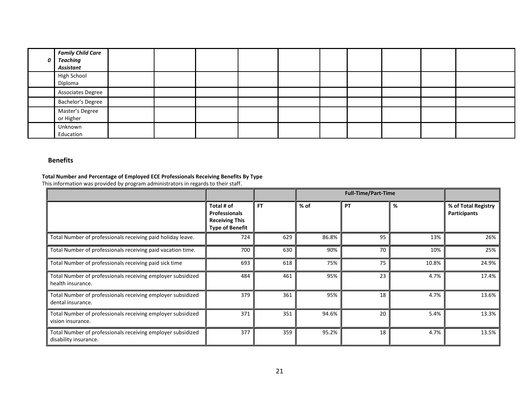| 0 | <b>Family Child Care</b><br>Teaching<br>Assistant |  |  |  |  |  |
|---|---------------------------------------------------|--|--|--|--|--|
|   | <b>High School</b><br>Diploma                     |  |  |  |  |  |
|   | Associates Degree                                 |  |  |  |  |  |
|   | Bachelor's Degree                                 |  |  |  |  |  |
|   | Master's Degree<br>or Higher                      |  |  |  |  |  |
|   | Unknown<br>Education                              |  |  |  |  |  |

# **Benefits**

# **Total Number and Percentage of Employed ECE Professionals Receiving Benefits By Type**

This information was provided by program administrators in regards to their staff.

|                                                                                      |                                                                                       |           |        | <b>Full-Time/Part-Time</b> |       |                                     |
|--------------------------------------------------------------------------------------|---------------------------------------------------------------------------------------|-----------|--------|----------------------------|-------|-------------------------------------|
|                                                                                      | Total # of<br><b>Professionals</b><br><b>Receiving This</b><br><b>Type of Benefit</b> | <b>FT</b> | $%$ of | <b>PT</b>                  | %     | % of Total Registry<br>Participants |
| Total Number of professionals receiving paid holiday leave.                          | 724                                                                                   | 629       | 86.8%  | 95                         | 13%   | 26%                                 |
| Total Number of professionals receiving paid vacation time.                          | 700                                                                                   | 630       | 90%    | 70                         | 10%   | 25%                                 |
| Total Number of professionals receiving paid sick time                               | 693                                                                                   | 618       | 75%    | 75                         | 10.8% | 24.9%                               |
| Total Number of professionals receiving employer subsidized<br>health insurance.     | 484                                                                                   | 461       | 95%    | 23                         | 4.7%  | 17.4%                               |
| Total Number of professionals receiving employer subsidized<br>dental insurance.     | 379                                                                                   | 361       | 95%    | 18                         | 4.7%  | 13.6%                               |
| Total Number of professionals receiving employer subsidized<br>vision insurance.     | 371                                                                                   | 351       | 94.6%  | 20                         | 5.4%  | 13.3%                               |
| Total Number of professionals receiving employer subsidized<br>disability insurance. | 377                                                                                   | 359       | 95.2%  | 18                         | 4.7%  | 13.5%                               |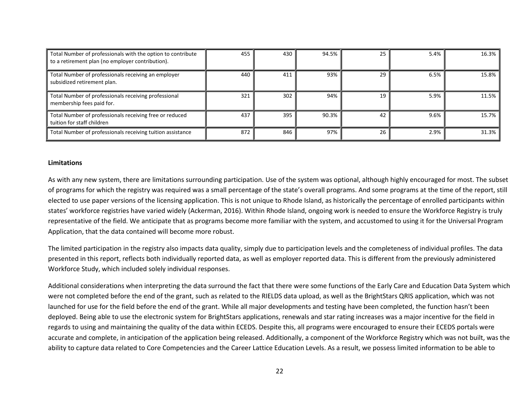| Total Number of professionals with the option to contribute<br>to a retirement plan (no employer contribution). | 455 | 430 | 94.5% | 25 | 5.4% | 16.3% |
|-----------------------------------------------------------------------------------------------------------------|-----|-----|-------|----|------|-------|
| Total Number of professionals receiving an employer<br>subsidized retirement plan.                              | 440 | 411 | 93%   | 29 | 6.5% | 15.8% |
| Total Number of professionals receiving professional<br>membership fees paid for.                               | 321 | 302 | 94%   | 19 | 5.9% | 11.5% |
| Total Number of professionals receiving free or reduced<br>tuition for staff children                           | 437 | 395 | 90.3% | 42 | 9.6% | 15.7% |
| Total Number of professionals receiving tuition assistance                                                      | 872 | 846 | 97%   | 26 | 2.9% | 31.3% |

#### **Limitations**

As with any new system, there are limitations surrounding participation. Use of the system was optional, although highly encouraged for most. The subset of programs for which the registry was required was a small percentage of the state's overall programs. And some programs at the time of the report, still elected to use paper versions of the licensing application. This is not unique to Rhode Island, as historically the percentage of enrolled participants within states' workforce registries have varied widely (Ackerman, 2016). Within Rhode Island, ongoing work is needed to ensure the Workforce Registry is truly representative of the field. We anticipate that as programs become more familiar with the system, and accustomed to using it for the Universal Program Application, that the data contained will become more robust.

The limited participation in the registry also impacts data quality, simply due to participation levels and the completeness of individual profiles. The data presented in this report, reflects both individually reported data, as well as employer reported data. This is different from the previously administered Workforce Study, which included solely individual responses.

Additional considerations when interpreting the data surround the fact that there were some functions of the Early Care and Education Data System which were not completed before the end of the grant, such as related to the RIELDS data upload, as well as the BrightStars QRIS application, which was not launched for use for the field before the end of the grant. While all major developments and testing have been completed, the function hasn't been deployed. Being able to use the electronic system for BrightStars applications, renewals and star rating increases was a major incentive for the field in regards to using and maintaining the quality of the data within ECEDS. Despite this, all programs were encouraged to ensure their ECEDS portals were accurate and complete, in anticipation of the application being released. Additionally, a component of the Workforce Registry which was not built, was the ability to capture data related to Core Competencies and the Career Lattice Education Levels. As a result, we possess limited information to be able to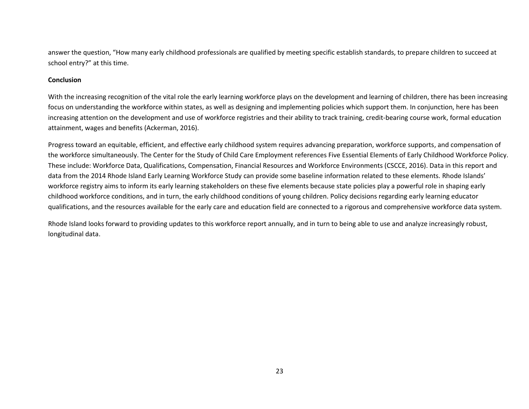answer the question, "How many early childhood professionals are qualified by meeting specific establish standards, to prepare children to succeed at school entry?" at this time.

### **Conclusion**

With the increasing recognition of the vital role the early learning workforce plays on the development and learning of children, there has been increasing focus on understanding the workforce within states, as well as designing and implementing policies which support them. In conjunction, here has been increasing attention on the development and use of workforce registries and their ability to track training, credit-bearing course work, formal education attainment, wages and benefits (Ackerman, 2016).

Progress toward an equitable, efficient, and effective early childhood system requires advancing preparation, workforce supports, and compensation of the workforce simultaneously. The Center for the Study of Child Care Employment references Five Essential Elements of Early Childhood Workforce Policy. These include: Workforce Data, Qualifications, Compensation, Financial Resources and Workforce Environments (CSCCE, 2016). Data in this report and data from the 2014 Rhode Island Early Learning Workforce Study can provide some baseline information related to these elements. Rhode Islands' workforce registry aims to inform its early learning stakeholders on these five elements because state policies play a powerful role in shaping early childhood workforce conditions, and in turn, the early childhood conditions of young children. Policy decisions regarding early learning educator qualifications, and the resources available for the early care and education field are connected to a rigorous and comprehensive workforce data system.

Rhode Island looks forward to providing updates to this workforce report annually, and in turn to being able to use and analyze increasingly robust, longitudinal data.